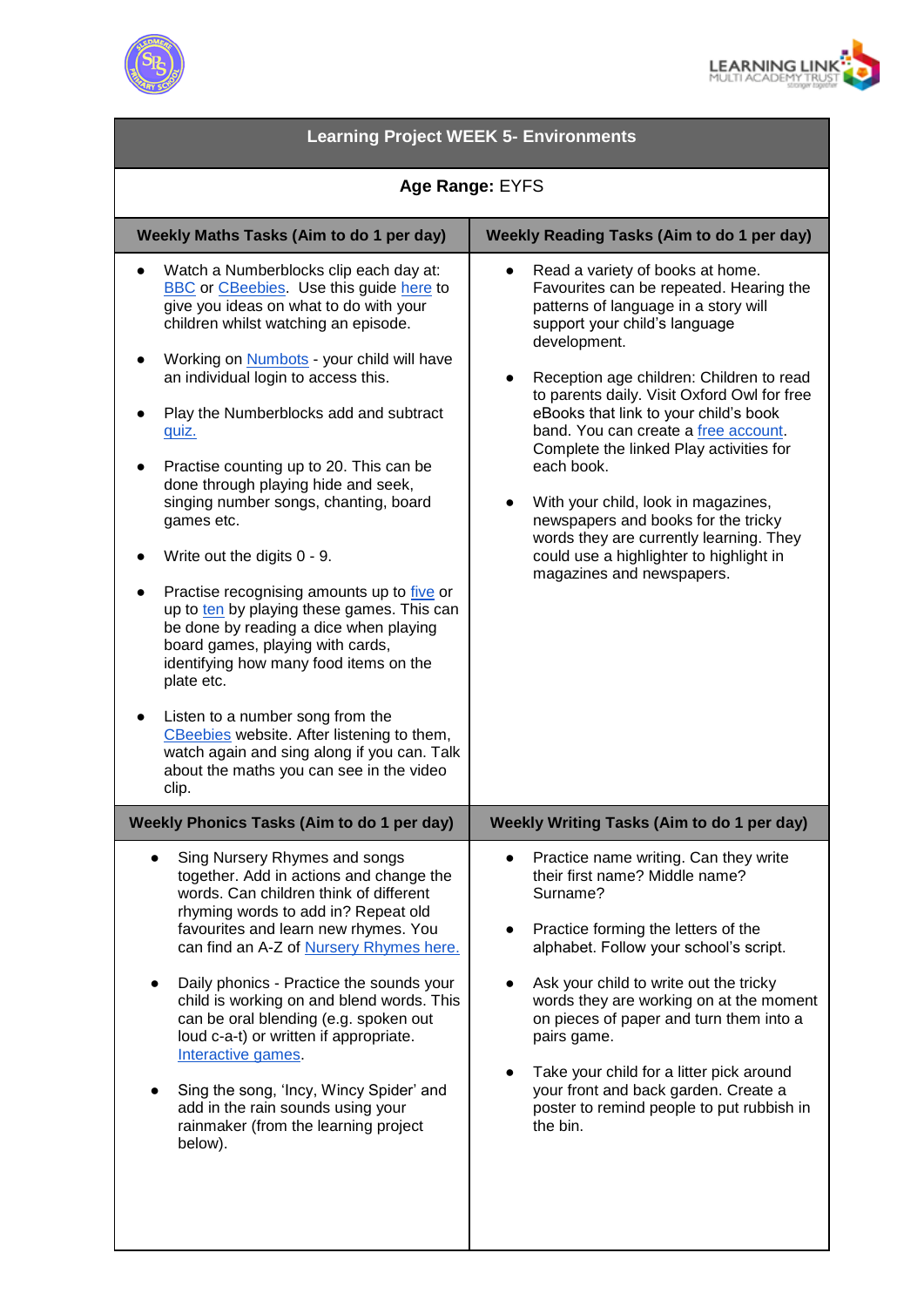



| <b>Learning Project WEEK 5- Environments</b>                                                                                                                                                                                                                                                                                                                                                                                                                                                                                                                                                                                                                                                                                                                                                                                                                                                                            |                                                                                                                                                                                                                                                                                                                                                                                                                                                                                                                                                                                                            |
|-------------------------------------------------------------------------------------------------------------------------------------------------------------------------------------------------------------------------------------------------------------------------------------------------------------------------------------------------------------------------------------------------------------------------------------------------------------------------------------------------------------------------------------------------------------------------------------------------------------------------------------------------------------------------------------------------------------------------------------------------------------------------------------------------------------------------------------------------------------------------------------------------------------------------|------------------------------------------------------------------------------------------------------------------------------------------------------------------------------------------------------------------------------------------------------------------------------------------------------------------------------------------------------------------------------------------------------------------------------------------------------------------------------------------------------------------------------------------------------------------------------------------------------------|
| Age Range: EYFS                                                                                                                                                                                                                                                                                                                                                                                                                                                                                                                                                                                                                                                                                                                                                                                                                                                                                                         |                                                                                                                                                                                                                                                                                                                                                                                                                                                                                                                                                                                                            |
| Weekly Maths Tasks (Aim to do 1 per day)                                                                                                                                                                                                                                                                                                                                                                                                                                                                                                                                                                                                                                                                                                                                                                                                                                                                                | <b>Weekly Reading Tasks (Aim to do 1 per day)</b>                                                                                                                                                                                                                                                                                                                                                                                                                                                                                                                                                          |
| Watch a Numberblocks clip each day at:<br><b>BBC</b> or <b>CBeebies</b> Use this guide here to<br>give you ideas on what to do with your<br>children whilst watching an episode.<br>Working on Numbots - your child will have<br>an individual login to access this.<br>Play the Numberblocks add and subtract<br>quiz.<br>Practise counting up to 20. This can be<br>done through playing hide and seek,<br>singing number songs, chanting, board<br>games etc.<br>Write out the digits 0 - 9.<br>Practise recognising amounts up to five or<br>up to ten by playing these games. This can<br>be done by reading a dice when playing<br>board games, playing with cards,<br>identifying how many food items on the<br>plate etc.<br>Listen to a number song from the<br>CBeebies website. After listening to them,<br>watch again and sing along if you can. Talk<br>about the maths you can see in the video<br>clip. | Read a variety of books at home.<br>Favourites can be repeated. Hearing the<br>patterns of language in a story will<br>support your child's language<br>development.<br>Reception age children: Children to read<br>to parents daily. Visit Oxford Owl for free<br>eBooks that link to your child's book<br>band. You can create a free account.<br>Complete the linked Play activities for<br>each book.<br>With your child, look in magazines,<br>newspapers and books for the tricky<br>words they are currently learning. They<br>could use a highlighter to highlight in<br>magazines and newspapers. |
| <b>Weekly Phonics Tasks (Aim to do 1 per day)</b>                                                                                                                                                                                                                                                                                                                                                                                                                                                                                                                                                                                                                                                                                                                                                                                                                                                                       | Weekly Writing Tasks (Aim to do 1 per day)                                                                                                                                                                                                                                                                                                                                                                                                                                                                                                                                                                 |
| Sing Nursery Rhymes and songs<br>together. Add in actions and change the<br>words. Can children think of different<br>rhyming words to add in? Repeat old<br>favourites and learn new rhymes. You<br>can find an A-Z of Nursery Rhymes here.<br>Daily phonics - Practice the sounds your<br>child is working on and blend words. This<br>can be oral blending (e.g. spoken out<br>loud c-a-t) or written if appropriate.<br>Interactive games<br>Sing the song, 'Incy, Wincy Spider' and<br>add in the rain sounds using your<br>rainmaker (from the learning project<br>below).                                                                                                                                                                                                                                                                                                                                        | Practice name writing. Can they write<br>their first name? Middle name?<br>Surname?<br>Practice forming the letters of the<br>alphabet. Follow your school's script.<br>Ask your child to write out the tricky<br>words they are working on at the moment<br>on pieces of paper and turn them into a<br>pairs game.<br>Take your child for a litter pick around<br>your front and back garden. Create a<br>poster to remind people to put rubbish in<br>the bin.                                                                                                                                           |